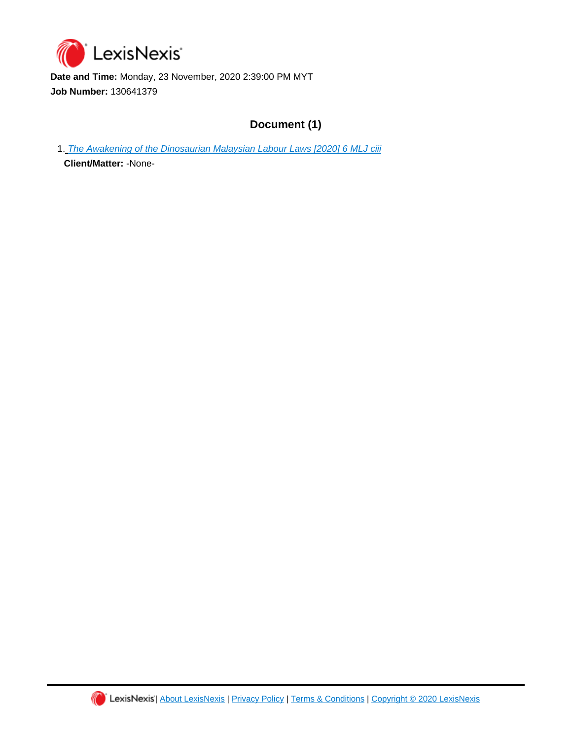

**Date and Time:** Monday, 23 November, 2020 2:39:00 PM MYT **Job Number:** 130641379

# **Document (1)**

1. [The Awakening of the Dinosaurian Malaysian Labour Laws \[2020\] 6 MLJ ciii](https://advance.lexis.com/api/document?id=urn:contentItem:61BC-0491-JWJ0-G3D3-00000-00&idtype=PID&context=1522468)

**Client/Matter:** -None-

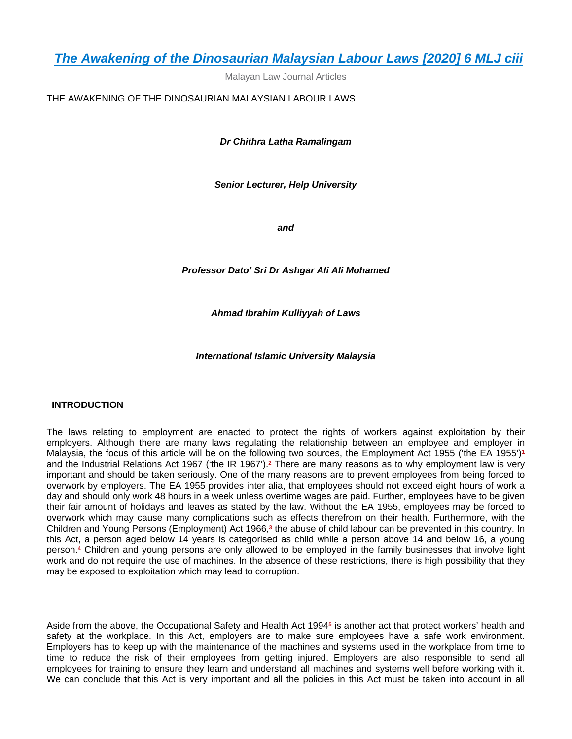Malayan Law Journal Articles

THE AWAKENING OF THE DINOSAURIAN MALAYSIAN LABOUR LAWS

*Dr Chithra Latha Ramalingam*

*Senior Lecturer, Help University*

*and*

*Professor Dato' Sri Dr Ashgar Ali Ali Mohamed*

*Ahmad Ibrahim Kulliyyah of Laws*

*International Islamic University Malaysia*

# **INTRODUCTION**

The laws relating to employment are enacted to protect the rights of workers against exploitation by their employers. Although there are many laws regulating the relationship between an employee and employer in Malaysia, the focus of this article will be on the following two sources, the Employment Act 1955 ('the EA 1955')**<sup>1</sup>** and the Industrial Relations Act 1967 ('the IR 1967').**<sup>2</sup>** There are many reasons as to why employment law is very important and should be taken seriously. One of the many reasons are to prevent employees from being forced to overwork by employers. The EA 1955 provides inter alia, that employees should not exceed eight hours of work a day and should only work 48 hours in a week unless overtime wages are paid. Further, employees have to be given their fair amount of holidays and leaves as stated by the law. Without the EA 1955, employees may be forced to overwork which may cause many complications such as effects therefrom on their health. Furthermore, with the Children and Young Persons (Employment) Act 1966,**<sup>3</sup>** the abuse of child labour can be prevented in this country. In this Act, a person aged below 14 years is categorised as child while a person above 14 and below 16, a young person.**<sup>4</sup>** Children and young persons are only allowed to be employed in the family businesses that involve light work and do not require the use of machines. In the absence of these restrictions, there is high possibility that they may be exposed to exploitation which may lead to corruption.

Aside from the above, the Occupational Safety and Health Act 1994**<sup>5</sup>** is another act that protect workers' health and safety at the workplace. In this Act, employers are to make sure employees have a safe work environment. Employers has to keep up with the maintenance of the machines and systems used in the workplace from time to time to reduce the risk of their employees from getting injured. Employers are also responsible to send all employees for training to ensure they learn and understand all machines and systems well before working with it. We can conclude that this Act is very important and all the policies in this Act must be taken into account in all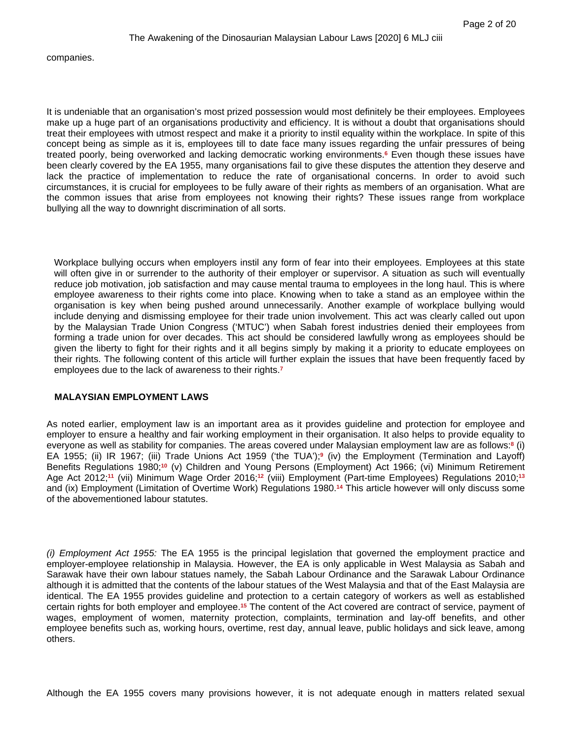companies.

It is undeniable that an organisation's most prized possession would most definitely be their employees. Employees make up a huge part of an organisations productivity and efficiency. It is without a doubt that organisations should treat their employees with utmost respect and make it a priority to instil equality within the workplace. In spite of this concept being as simple as it is, employees till to date face many issues regarding the unfair pressures of being treated poorly, being overworked and lacking democratic working environments.**<sup>6</sup>** Even though these issues have been clearly covered by the EA 1955, many organisations fail to give these disputes the attention they deserve and lack the practice of implementation to reduce the rate of organisational concerns. In order to avoid such circumstances, it is crucial for employees to be fully aware of their rights as members of an organisation. What are the common issues that arise from employees not knowing their rights? These issues range from workplace bullying all the way to downright discrimination of all sorts.

Workplace bullying occurs when employers instil any form of fear into their employees. Employees at this state will often give in or surrender to the authority of their employer or supervisor. A situation as such will eventually reduce job motivation, job satisfaction and may cause mental trauma to employees in the long haul. This is where employee awareness to their rights come into place. Knowing when to take a stand as an employee within the organisation is key when being pushed around unnecessarily. Another example of workplace bullying would include denying and dismissing employee for their trade union involvement. This act was clearly called out upon by the Malaysian Trade Union Congress ('MTUC') when Sabah forest industries denied their employees from forming a trade union for over decades. This act should be considered lawfully wrong as employees should be given the liberty to fight for their rights and it all begins simply by making it a priority to educate employees on their rights. The following content of this article will further explain the issues that have been frequently faced by employees due to the lack of awareness to their rights.**<sup>7</sup>**

# **MALAYSIAN EMPLOYMENT LAWS**

As noted earlier, employment law is an important area as it provides guideline and protection for employee and employer to ensure a healthy and fair working employment in their organisation. It also helps to provide equality to everyone as well as stability for companies. The areas covered under Malaysian employment law are as follows:**<sup>8</sup>** (i) EA 1955; (ii) IR 1967; (iii) Trade Unions Act 1959 ('the TUA');**<sup>9</sup>** (iv) the Employment (Termination and Layoff) Benefits Regulations 1980;**10** (v) Children and Young Persons (Employment) Act 1966; (vi) Minimum Retirement Age Act 2012;**11** (vii) Minimum Wage Order 2016;**12** (viii) Employment (Part-time Employees) Regulations 2010;**<sup>13</sup>** and (ix) Employment (Limitation of Overtime Work) Regulations 1980.**14** This article however will only discuss some of the abovementioned labour statutes.

*(i) Employment Act 1955:* The EA 1955 is the principal legislation that governed the employment practice and employer-employee relationship in Malaysia. However, the EA is only applicable in West Malaysia as Sabah and Sarawak have their own labour statues namely, the Sabah Labour Ordinance and the Sarawak Labour Ordinance although it is admitted that the contents of the labour statues of the West Malaysia and that of the East Malaysia are identical. The EA 1955 provides guideline and protection to a certain category of workers as well as established certain rights for both employer and employee.**15** The content of the Act covered are contract of service, payment of wages, employment of women, maternity protection, complaints, termination and lay-off benefits, and other employee benefits such as, working hours, overtime, rest day, annual leave, public holidays and sick leave, among others.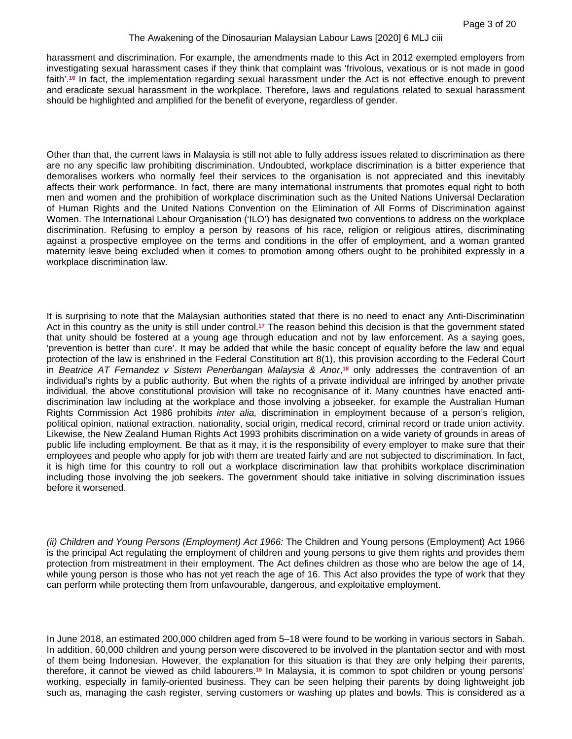harassment and discrimination. For example, the amendments made to this Act in 2012 exempted employers from investigating sexual harassment cases if they think that complaint was 'frivolous, vexatious or is not made in good faith'.**16** In fact, the implementation regarding sexual harassment under the Act is not effective enough to prevent and eradicate sexual harassment in the workplace. Therefore, laws and regulations related to sexual harassment should be highlighted and amplified for the benefit of everyone, regardless of gender.

Other than that, the current laws in Malaysia is still not able to fully address issues related to discrimination as there are no any specific law prohibiting discrimination. Undoubted, workplace discrimination is a bitter experience that demoralises workers who normally feel their services to the organisation is not appreciated and this inevitably affects their work performance. In fact, there are many international instruments that promotes equal right to both men and women and the prohibition of workplace discrimination such as the United Nations Universal Declaration of Human Rights and the United Nations Convention on the Elimination of All Forms of Discrimination against Women. The International Labour Organisation ('ILO') has designated two conventions to address on the workplace discrimination. Refusing to employ a person by reasons of his race, religion or religious attires, discriminating against a prospective employee on the terms and conditions in the offer of employment, and a woman granted maternity leave being excluded when it comes to promotion among others ought to be prohibited expressly in a workplace discrimination law.

It is surprising to note that the Malaysian authorities stated that there is no need to enact any Anti-Discrimination Act in this country as the unity is still under control.**17** The reason behind this decision is that the government stated that unity should be fostered at a young age through education and not by law enforcement. As a saying goes, 'prevention is better than cure'. It may be added that while the basic concept of equality before the law and equal protection of the law is enshrined in the Federal Constitution art 8(1), this provision according to the Federal Court in *Beatrice AT Fernandez v Sistem Penerbangan Malaysia & Anor,<sup>18</sup> only addresses the contravention of an* individual's rights by a public authority. But when the rights of a private individual are infringed by another private individual, the above constitutional provision will take no recognisance of it. Many countries have enacted antidiscrimination law including at the workplace and those involving a jobseeker, for example the Australian Human Rights Commission Act 1986 prohibits *inter alia,* discrimination in employment because of a person's religion, political opinion, national extraction, nationality, social origin, medical record, criminal record or trade union activity*.* Likewise, the New Zealand Human Rights Act 1993 prohibits discrimination on a wide variety of grounds in areas of public life including employment. Be that as it may, it is the responsibility of every employer to make sure that their employees and people who apply for job with them are treated fairly and are not subjected to discrimination. In fact, it is high time for this country to roll out a workplace discrimination law that prohibits workplace discrimination including those involving the job seekers. The government should take initiative in solving discrimination issues before it worsened.

*(ii) Children and Young Persons (Employment) Act 1966:* The Children and Young persons (Employment) Act 1966 is the principal Act regulating the employment of children and young persons to give them rights and provides them protection from mistreatment in their employment. The Act defines children as those who are below the age of 14, while young person is those who has not yet reach the age of 16. This Act also provides the type of work that they can perform while protecting them from unfavourable, dangerous, and exploitative employment.

In June 2018, an estimated 200,000 children aged from 5–18 were found to be working in various sectors in Sabah. In addition, 60,000 children and young person were discovered to be involved in the plantation sector and with most of them being Indonesian. However, the explanation for this situation is that they are only helping their parents, therefore, it cannot be viewed as child labourers.**19** In Malaysia, it is common to spot children or young persons' working, especially in family-oriented business. They can be seen helping their parents by doing lightweight job such as, managing the cash register, serving customers or washing up plates and bowls. This is considered as a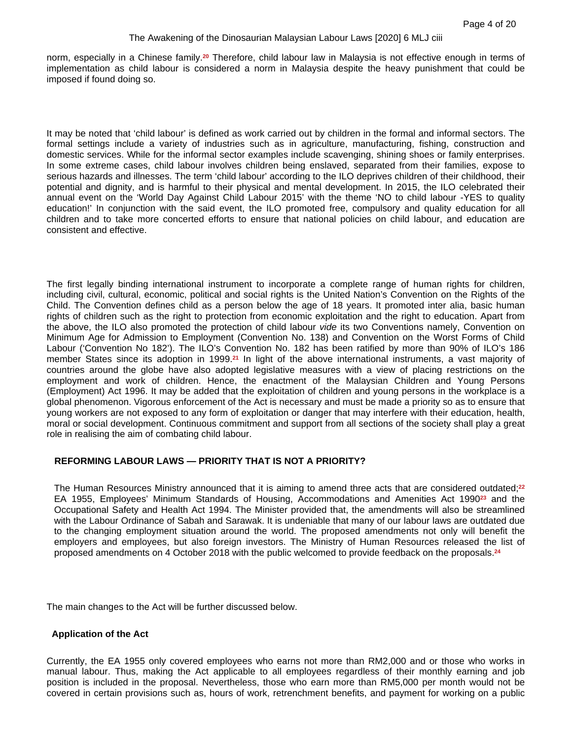norm, especially in a Chinese family.**20** Therefore, child labour law in Malaysia is not effective enough in terms of implementation as child labour is considered a norm in Malaysia despite the heavy punishment that could be imposed if found doing so.

It may be noted that 'child labour' is defined as work carried out by children in the formal and informal sectors. The formal settings include a variety of industries such as in agriculture, manufacturing, fishing, construction and domestic services. While for the informal sector examples include scavenging, shining shoes or family enterprises. In some extreme cases, child labour involves children being enslaved, separated from their families, expose to serious hazards and illnesses. The term 'child labour' according to the ILO deprives children of their childhood, their potential and dignity, and is harmful to their physical and mental development. In 2015, the ILO celebrated their annual event on the 'World Day Against Child Labour 2015' with the theme 'NO to child labour -YES to quality education!' In conjunction with the said event, the ILO promoted free, compulsory and quality education for all children and to take more concerted efforts to ensure that national policies on child labour, and education are consistent and effective.

The first legally binding international instrument to incorporate a complete range of human rights for children, including civil, cultural, economic, political and social rights is the United Nation's Convention on the Rights of the Child. The Convention defines child as a person below the age of 18 years. It promoted inter alia, basic human rights of children such as the right to protection from economic exploitation and the right to education. Apart from the above, the ILO also promoted the protection of child labour *vide* its two Conventions namely, Convention on Minimum Age for Admission to Employment (Convention No. 138) and Convention on the Worst Forms of Child Labour ('Convention No 182'). The ILO's Convention No. 182 has been ratified by more than 90% of ILO's 186 member States since its adoption in 1999.**21** In light of the above international instruments, a vast majority of countries around the globe have also adopted legislative measures with a view of placing restrictions on the employment and work of children. Hence, the enactment of the Malaysian Children and Young Persons (Employment) Act 1996. It may be added that the exploitation of children and young persons in the workplace is a global phenomenon. Vigorous enforcement of the Act is necessary and must be made a priority so as to ensure that young workers are not exposed to any form of exploitation or danger that may interfere with their education, health, moral or social development. Continuous commitment and support from all sections of the society shall play a great role in realising the aim of combating child labour.

# **REFORMING LABOUR LAWS — PRIORITY THAT IS NOT A PRIORITY?**

The Human Resources Ministry announced that it is aiming to amend three acts that are considered outdated;**<sup>22</sup>** EA 1955, Employees' Minimum Standards of Housing, Accommodations and Amenities Act 1990**23** and the Occupational Safety and Health Act 1994. The Minister provided that, the amendments will also be streamlined with the Labour Ordinance of Sabah and Sarawak. It is undeniable that many of our labour laws are outdated due to the changing employment situation around the world. The proposed amendments not only will benefit the employers and employees, but also foreign investors. The Ministry of Human Resources released the list of proposed amendments on 4 October 2018 with the public welcomed to provide feedback on the proposals.**<sup>24</sup>**

The main changes to the Act will be further discussed below.

# **Application of the Act**

Currently, the EA 1955 only covered employees who earns not more than RM2,000 and or those who works in manual labour. Thus, making the Act applicable to all employees regardless of their monthly earning and job position is included in the proposal. Nevertheless, those who earn more than RM5,000 per month would not be covered in certain provisions such as, hours of work, retrenchment benefits, and payment for working on a public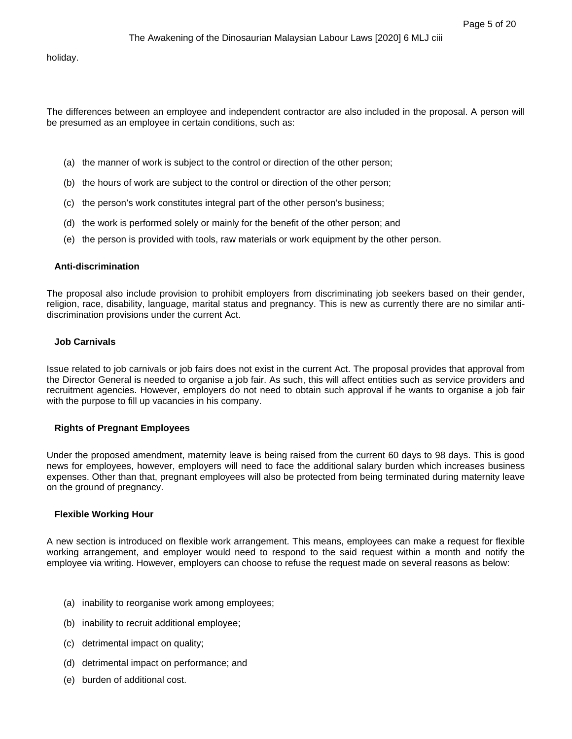holiday.

The differences between an employee and independent contractor are also included in the proposal. A person will be presumed as an employee in certain conditions, such as:

- (a) the manner of work is subject to the control or direction of the other person;
- (b) the hours of work are subject to the control or direction of the other person;
- (c) the person's work constitutes integral part of the other person's business;
- (d) the work is performed solely or mainly for the benefit of the other person; and
- (e) the person is provided with tools, raw materials or work equipment by the other person.

## **Anti-discrimination**

The proposal also include provision to prohibit employers from discriminating job seekers based on their gender, religion, race, disability, language, marital status and pregnancy. This is new as currently there are no similar antidiscrimination provisions under the current Act.

# **Job Carnivals**

Issue related to job carnivals or job fairs does not exist in the current Act. The proposal provides that approval from the Director General is needed to organise a job fair. As such, this will affect entities such as service providers and recruitment agencies. However, employers do not need to obtain such approval if he wants to organise a job fair with the purpose to fill up vacancies in his company.

# **Rights of Pregnant Employees**

Under the proposed amendment, maternity leave is being raised from the current 60 days to 98 days. This is good news for employees, however, employers will need to face the additional salary burden which increases business expenses. Other than that, pregnant employees will also be protected from being terminated during maternity leave on the ground of pregnancy.

#### **Flexible Working Hour**

A new section is introduced on flexible work arrangement. This means, employees can make a request for flexible working arrangement, and employer would need to respond to the said request within a month and notify the employee via writing. However, employers can choose to refuse the request made on several reasons as below:

- (a) inability to reorganise work among employees;
- (b) inability to recruit additional employee;
- (c) detrimental impact on quality;
- (d) detrimental impact on performance; and
- (e) burden of additional cost.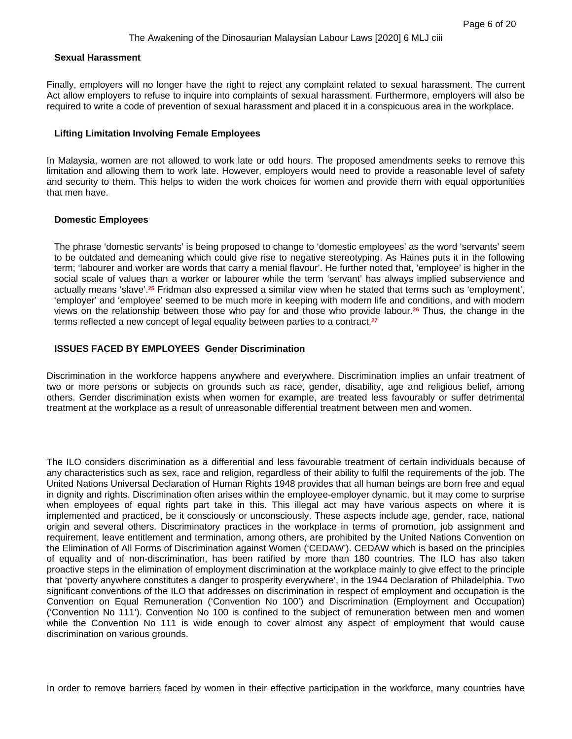#### **Sexual Harassment**

Finally, employers will no longer have the right to reject any complaint related to sexual harassment. The current Act allow employers to refuse to inquire into complaints of sexual harassment. Furthermore, employers will also be required to write a code of prevention of sexual harassment and placed it in a conspicuous area in the workplace.

#### **Lifting Limitation Involving Female Employees**

In Malaysia, women are not allowed to work late or odd hours. The proposed amendments seeks to remove this limitation and allowing them to work late. However, employers would need to provide a reasonable level of safety and security to them. This helps to widen the work choices for women and provide them with equal opportunities that men have.

#### **Domestic Employees**

The phrase 'domestic servants' is being proposed to change to 'domestic employees' as the word 'servants' seem to be outdated and demeaning which could give rise to negative stereotyping. As Haines puts it in the following term; 'labourer and worker are words that carry a menial flavour'. He further noted that, 'employee' is higher in the social scale of values than a worker or labourer while the term 'servant' has always implied subservience and actually means 'slave'.**25** Fridman also expressed a similar view when he stated that terms such as 'employment', 'employer' and 'employee' seemed to be much more in keeping with modern life and conditions, and with modern views on the relationship between those who pay for and those who provide labour.**26** Thus, the change in the terms reflected a new concept of legal equality between parties to a contract.**<sup>27</sup>**

# **ISSUES FACED BY EMPLOYEES Gender Discrimination**

Discrimination in the workforce happens anywhere and everywhere. Discrimination implies an unfair treatment of two or more persons or subjects on grounds such as race, gender, disability, age and religious belief, among others. Gender discrimination exists when women for example, are treated less favourably or suffer detrimental treatment at the workplace as a result of unreasonable differential treatment between men and women.

The ILO considers discrimination as a differential and less favourable treatment of certain individuals because of any characteristics such as sex, race and religion, regardless of their ability to fulfil the requirements of the job. The United Nations Universal Declaration of Human Rights 1948 provides that all human beings are born free and equal in dignity and rights. Discrimination often arises within the employee-employer dynamic, but it may come to surprise when employees of equal rights part take in this. This illegal act may have various aspects on where it is implemented and practiced, be it consciously or unconsciously. These aspects include age, gender, race, national origin and several others. Discriminatory practices in the workplace in terms of promotion, job assignment and requirement, leave entitlement and termination, among others, are prohibited by the United Nations Convention on the Elimination of All Forms of Discrimination against Women ('CEDAW'). CEDAW which is based on the principles of equality and of non-discrimination, has been ratified by more than 180 countries. The ILO has also taken proactive steps in the elimination of employment discrimination at the workplace mainly to give effect to the principle that 'poverty anywhere constitutes a danger to prosperity everywhere', in the 1944 Declaration of Philadelphia. Two significant conventions of the ILO that addresses on discrimination in respect of employment and occupation is the Convention on Equal Remuneration ('Convention No 100') and Discrimination (Employment and Occupation) ('Convention No 111'). Convention No 100 is confined to the subject of remuneration between men and women while the Convention No 111 is wide enough to cover almost any aspect of employment that would cause discrimination on various grounds.

In order to remove barriers faced by women in their effective participation in the workforce, many countries have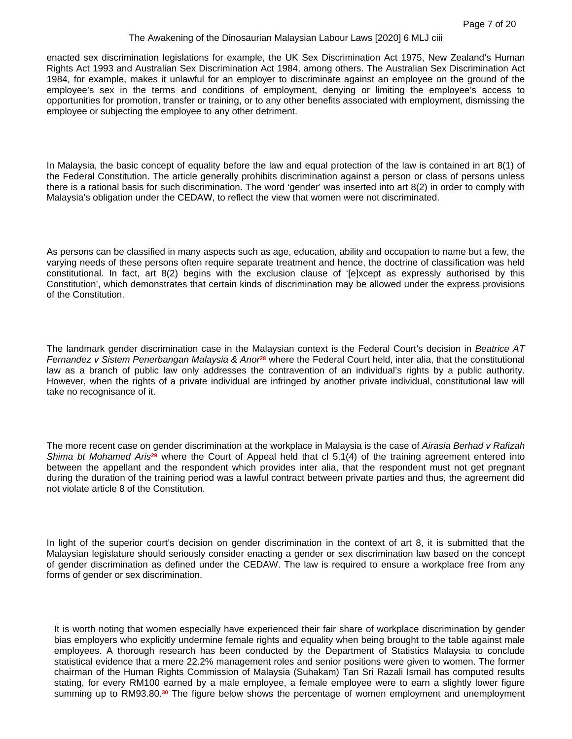enacted sex discrimination legislations for example, the UK Sex Discrimination Act 1975, New Zealand's Human Rights Act 1993 and Australian Sex Discrimination Act 1984, among others. The Australian Sex Discrimination Act 1984, for example, makes it unlawful for an employer to discriminate against an employee on the ground of the employee's sex in the terms and conditions of employment, denying or limiting the employee's access to opportunities for promotion, transfer or training, or to any other benefits associated with employment, dismissing the employee or subjecting the employee to any other detriment.

In Malaysia, the basic concept of equality before the law and equal protection of the law is contained in art 8(1) of the Federal Constitution. The article generally prohibits discrimination against a person or class of persons unless there is a rational basis for such discrimination. The word 'gender' was inserted into art 8(2) in order to comply with Malaysia's obligation under the CEDAW, to reflect the view that women were not discriminated.

As persons can be classified in many aspects such as age, education, ability and occupation to name but a few, the varying needs of these persons often require separate treatment and hence, the doctrine of classification was held constitutional. In fact, art 8(2) begins with the exclusion clause of '[e]xcept as expressly authorised by this Constitution', which demonstrates that certain kinds of discrimination may be allowed under the express provisions of the Constitution.

The landmark gender discrimination case in the Malaysian context is the Federal Court's decision in *Beatrice AT Fernandez v Sistem Penerbangan Malaysia & Anor***28** where the Federal Court held, inter alia, that the constitutional law as a branch of public law only addresses the contravention of an individual's rights by a public authority. However, when the rights of a private individual are infringed by another private individual, constitutional law will take no recognisance of it.

The more recent case on gender discrimination at the workplace in Malaysia is the case of *Airasia Berhad v Rafizah Shima bt Mohamed Aris***29** where the Court of Appeal held that cl 5.1(4) of the training agreement entered into between the appellant and the respondent which provides inter alia, that the respondent must not get pregnant during the duration of the training period was a lawful contract between private parties and thus, the agreement did not violate article 8 of the Constitution.

In light of the superior court's decision on gender discrimination in the context of art 8, it is submitted that the Malaysian legislature should seriously consider enacting a gender or sex discrimination law based on the concept of gender discrimination as defined under the CEDAW. The law is required to ensure a workplace free from any forms of gender or sex discrimination.

It is worth noting that women especially have experienced their fair share of workplace discrimination by gender bias employers who explicitly undermine female rights and equality when being brought to the table against male employees. A thorough research has been conducted by the Department of Statistics Malaysia to conclude statistical evidence that a mere 22.2% management roles and senior positions were given to women. The former chairman of the Human Rights Commission of Malaysia (Suhakam) Tan Sri Razali Ismail has computed results stating, for every RM100 earned by a male employee, a female employee were to earn a slightly lower figure summing up to RM93.80.**30** The figure below shows the percentage of women employment and unemployment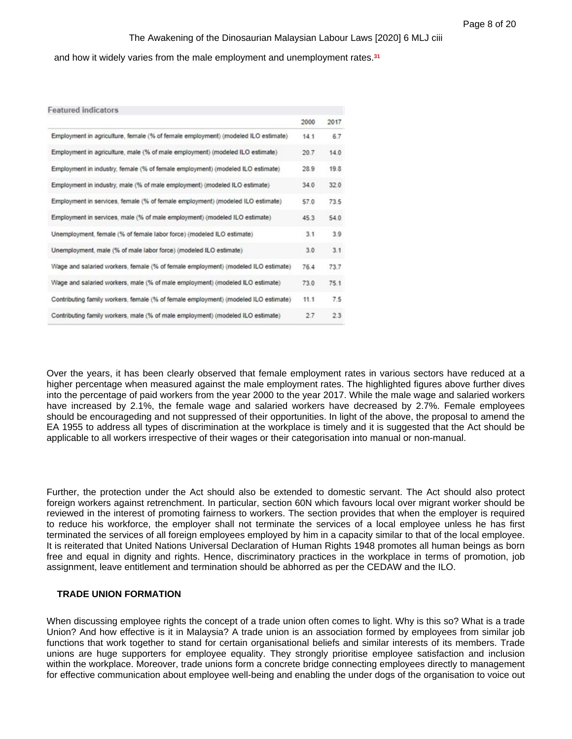and how it widely varies from the male employment and unemployment rates.**<sup>31</sup>**

| <b>Featured indicators</b>                                                          |      |      |
|-------------------------------------------------------------------------------------|------|------|
|                                                                                     | 2000 | 2017 |
| Employment in agriculture, female (% of female employment) (modeled ILO estimate)   | 14.1 | 6.7  |
| Employment in agriculture, male (% of male employment) (modeled ILO estimate)       | 20.7 | 14.0 |
| Employment in industry, female (% of female employment) (modeled ILO estimate)      | 28.9 | 19.8 |
| Employment in industry, male (% of male employment) (modeled ILO estimate)          | 34.0 | 32.0 |
| Employment in services, female (% of female employment) (modeled ILO estimate)      | 57.0 | 73.5 |
| Employment in services, male (% of male employment) (modeled ILO estimate)          | 45.3 | 54.0 |
| Unemployment, female (% of female labor force) (modeled ILO estimate)               | 3.1  | 3.9  |
| Unemployment, male (% of male labor force) (modeled ILO estimate)                   | 3.0  | 3.1  |
| Wage and salaried workers, female (% of female employment) (modeled ILO estimate)   | 76.4 | 73.7 |
| Wage and salaried workers, male (% of male employment) (modeled ILO estimate)       | 73.0 | 75.1 |
| Contributing family workers, female (% of female employment) (modeled ILO estimate) | 11.1 | 7.5  |
| Contributing family workers, male (% of male employment) (modeled ILO estimate)     | 2.7  | 2.3  |

Over the years, it has been clearly observed that female employment rates in various sectors have reduced at a higher percentage when measured against the male employment rates. The highlighted figures above further dives into the percentage of paid workers from the year 2000 to the year 2017. While the male wage and salaried workers have increased by 2.1%, the female wage and salaried workers have decreased by 2.7%. Female employees should be encourageding and not suppressed of their opportunities. In light of the above, the proposal to amend the EA 1955 to address all types of discrimination at the workplace is timely and it is suggested that the Act should be applicable to all workers irrespective of their wages or their categorisation into manual or non-manual.

Further, the protection under the Act should also be extended to domestic servant. The Act should also protect foreign workers against retrenchment. In particular, section 60N which favours local over migrant worker should be reviewed in the interest of promoting fairness to workers. The section provides that when the employer is required to reduce his workforce, the employer shall not terminate the services of a local employee unless he has first terminated the services of all foreign employees employed by him in a capacity similar to that of the local employee. It is reiterated that United Nations Universal Declaration of Human Rights 1948 promotes all human beings as born free and equal in dignity and rights. Hence, discriminatory practices in the workplace in terms of promotion, job assignment, leave entitlement and termination should be abhorred as per the CEDAW and the ILO.

#### **TRADE UNION FORMATION**

When discussing employee rights the concept of a trade union often comes to light. Why is this so? What is a trade Union? And how effective is it in Malaysia? A trade union is an association formed by employees from similar job functions that work together to stand for certain organisational beliefs and similar interests of its members. Trade unions are huge supporters for employee equality. They strongly prioritise employee satisfaction and inclusion within the workplace. Moreover, trade unions form a concrete bridge connecting employees directly to management for effective communication about employee well-being and enabling the under dogs of the organisation to voice out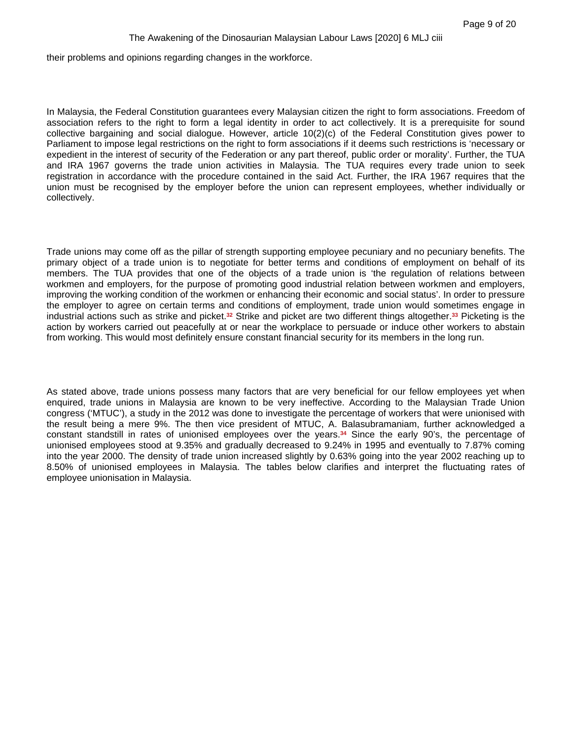their problems and opinions regarding changes in the workforce.

In Malaysia, the Federal Constitution guarantees every Malaysian citizen the right to form associations. Freedom of association refers to the right to form a legal identity in order to act collectively. It is a prerequisite for sound collective bargaining and social dialogue. However, article 10(2)(c) of the Federal Constitution gives power to Parliament to impose legal restrictions on the right to form associations if it deems such restrictions is 'necessary or expedient in the interest of security of the Federation or any part thereof, public order or morality'. Further, the TUA and IRA 1967 governs the trade union activities in Malaysia. The TUA requires every trade union to seek registration in accordance with the procedure contained in the said Act. Further, the IRA 1967 requires that the union must be recognised by the employer before the union can represent employees, whether individually or collectively.

Trade unions may come off as the pillar of strength supporting employee pecuniary and no pecuniary benefits. The primary object of a trade union is to negotiate for better terms and conditions of employment on behalf of its members. The TUA provides that one of the objects of a trade union is 'the regulation of relations between workmen and employers, for the purpose of promoting good industrial relation between workmen and employers, improving the working condition of the workmen or enhancing their economic and social status'. In order to pressure the employer to agree on certain terms and conditions of employment, trade union would sometimes engage in industrial actions such as strike and picket.**32** Strike and picket are two different things altogether.**33** Picketing is the action by workers carried out peacefully at or near the workplace to persuade or induce other workers to abstain from working. This would most definitely ensure constant financial security for its members in the long run.

As stated above, trade unions possess many factors that are very beneficial for our fellow employees yet when enquired, trade unions in Malaysia are known to be very ineffective. According to the Malaysian Trade Union congress ('MTUC'), a study in the 2012 was done to investigate the percentage of workers that were unionised with the result being a mere 9%. The then vice president of MTUC, A. Balasubramaniam, further acknowledged a constant standstill in rates of unionised employees over the years.**34** Since the early 90's, the percentage of unionised employees stood at 9.35% and gradually decreased to 9.24% in 1995 and eventually to 7.87% coming into the year 2000. The density of trade union increased slightly by 0.63% going into the year 2002 reaching up to 8.50% of unionised employees in Malaysia. The tables below clarifies and interpret the fluctuating rates of employee unionisation in Malaysia.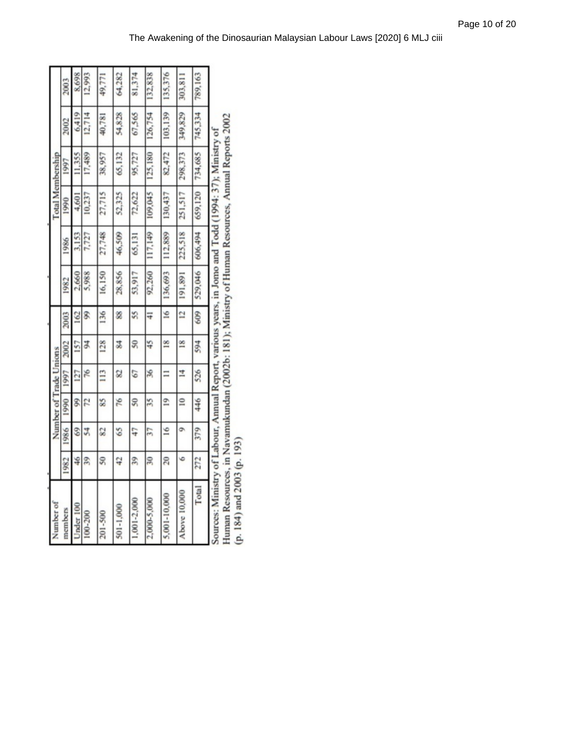| Number of                                                                                         |                          |               |                          | Number of Trade Unions |                |                |         |         | Total Membership |         |         |         |
|---------------------------------------------------------------------------------------------------|--------------------------|---------------|--------------------------|------------------------|----------------|----------------|---------|---------|------------------|---------|---------|---------|
| members                                                                                           | 1982                     | 1986          | 1990                     | 1997                   | 2002           | 2003           | 1982    | 1986    | 1990             | 1997    | 2002    | 2003    |
| Under 100                                                                                         | 46                       | 69            | Ş,                       | 127                    | 157            | 162            | 2.660   | 3.153   | 4,601            | 11.355  | 6,419   | 8,698   |
| 100-200                                                                                           | 39                       | 54            | 12                       | χĢ                     | ¥,             | S)             | 5,988   | 1,727   | 10,237           | 17,489  | 12.714  | 12.993  |
| 201-500                                                                                           | $\overline{\mathcal{S}}$ | 82            | 85                       | 113                    | 128            | 136            | 16,150  | 27,748  | 27,715           | 38,957  | 40,781  | 49,771  |
| 501-1,000                                                                                         | 42                       | 65            | 76                       | 2                      | 35             | 88             | 28,856  | 46,509  | 52,325           | 65,132  | 54,828  | 64,282  |
| 1,001-2,000                                                                                       | 39                       | 47            | $\overline{\mathcal{S}}$ | 67                     | S              | 55             | 53,917  | 65,131  | 72,622           | 95,727  | 67,565  | 81,374  |
| 2,000-5,000                                                                                       | $\frac{1}{2}$            | 57            | 35                       | 36                     | 45             | $\frac{1}{4}$  | 92,260  | 117,149 | 109,045          | 125,180 | 126,754 | 132,838 |
| 5.001-10.000                                                                                      | $\overline{20}$          | $\frac{6}{2}$ | $\overline{9}$           | $\equiv$               | $\frac{8}{1}$  | $\tilde{=}$    | 136,693 | 112,889 | 130,437          | 82,472  | 103,139 | 135,376 |
| Above 10,000                                                                                      | 6                        | ò             | $\overline{a}$           | $\overline{4}$         | $\frac{8}{15}$ | $\overline{2}$ | 191,891 | 225,518 | 251,517          | 298,373 | 349,829 | 303,811 |
| Total                                                                                             | 272                      | 379           | 446                      | 526                    | 594            | 609            | 529,046 | 606,494 | 659,120          | 734.685 | 745.334 | 789,163 |
| Courses: Ministry of Labour, Annual Report vertices were in Long and Todd (1004: 37); Ministry of |                          |               |                          |                        |                |                |         |         |                  |         |         |         |

Sources: Ministry of Labour, Annual Keport, various years, in Jonio and 1 odd (1994: 37); Ministry of<br>Human Resources, in Navamukundan (2002b: 181); Ministry of Human Resources, Annual Reports 2002<br>(p. 184) and 2003 (p. 19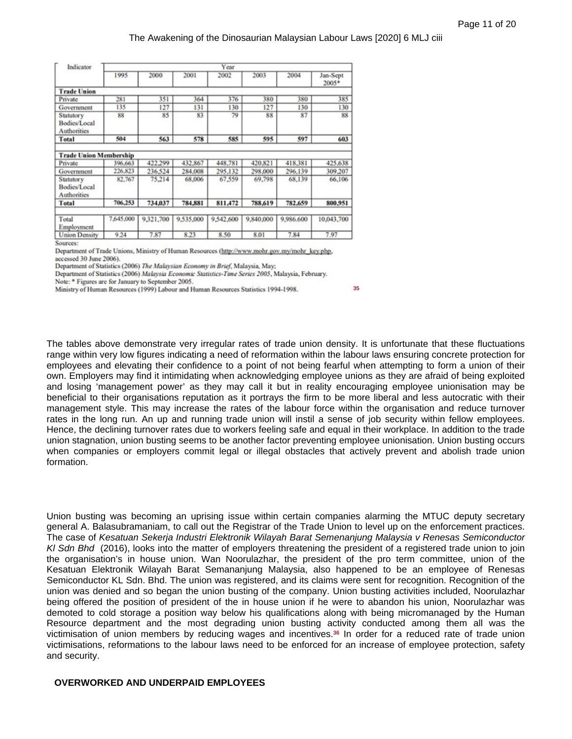| Indicator                                |                    |                    |                    | Year               |                    |                    |                       |
|------------------------------------------|--------------------|--------------------|--------------------|--------------------|--------------------|--------------------|-----------------------|
|                                          | 1995               | 2000               | 2001               | 2002               | 2003               | 2004               | Jan-Sept<br>$2005*$   |
| <b>Trade Union</b>                       |                    |                    |                    |                    |                    |                    |                       |
| Private                                  | 281                | 351                | 364                | 376                | 380                | 380                | 385                   |
| Government                               | 135                | 127                | 131                | 130                | 127                | 130                | 130                   |
| Statutory<br>Bodies/Local<br>Authorities | 88                 | 85                 | 83                 | 79                 | 88                 | 87                 | 88                    |
| Total                                    | 504                | 563                | 578                | 585                | 595                | 597                | 603                   |
| <b>Trade Union Membership</b>            |                    |                    |                    |                    |                    |                    |                       |
|                                          |                    |                    |                    |                    |                    |                    |                       |
| Private<br>Government                    | 396,663<br>226,823 | 422,299<br>236,524 | 432,867<br>284,008 | 448,781<br>295,132 | 420.821<br>298,000 | 418,381<br>296,139 | 425,638<br>309,207    |
| Statutory<br>Bodies/Local<br>Authorities | 82,767             | 75.214             | 68,006             | 67,559             | 69,798             | 68,139             | 66,106                |
| Total                                    | 706,253            | 734,037            | 784,881            | 811.472            | 788,619            | 782,659            |                       |
| Total<br>Employment                      | 7,645,000          | 9,321,700          | 9,535,000          | 9,542,600          | 9,840,000          | 9,986.600          | 800,951<br>10,043,700 |

Department of Trade Unions, Ministry of Human Resources (http://www.mohr.gov.my/mohr\_key.php. accessed 30 June 2006).

Department of Statistics (2006) The Malaysian Economy in Brief, Malaysia, May;

Department of Statistics (2006) Malaysia Economic Statistics-Time Series 2005, Malaysia, February.

Note: \* Figures are for January to September 2005.

Ministry of Human Resources (1999) Labour and Human Resources Statistics 1994-1998.

**35**

The tables above demonstrate very irregular rates of trade union density. It is unfortunate that these fluctuations range within very low figures indicating a need of reformation within the labour laws ensuring concrete protection for employees and elevating their confidence to a point of not being fearful when attempting to form a union of their own. Employers may find it intimidating when acknowledging employee unions as they are afraid of being exploited and losing 'management power' as they may call it but in reality encouraging employee unionisation may be beneficial to their organisations reputation as it portrays the firm to be more liberal and less autocratic with their management style. This may increase the rates of the labour force within the organisation and reduce turnover rates in the long run. An up and running trade union will instil a sense of job security within fellow employees. Hence, the declining turnover rates due to workers feeling safe and equal in their workplace. In addition to the trade union stagnation, union busting seems to be another factor preventing employee unionisation. Union busting occurs when companies or employers commit legal or illegal obstacles that actively prevent and abolish trade union formation.

Union busting was becoming an uprising issue within certain companies alarming the MTUC deputy secretary general A. Balasubramaniam, to call out the Registrar of the Trade Union to level up on the enforcement practices. The case of *Kesatuan Sekerja Industri Elektronik Wilayah Barat Semenanjung Malaysia v Renesas Semiconductor Kl Sdn Bhd* (2016), looks into the matter of employers threatening the president of a registered trade union to join the organisation's in house union. Wan Noorulazhar, the president of the pro term committee, union of the Kesatuan Elektronik Wilayah Barat Semananjung Malaysia, also happened to be an employee of Renesas Semiconductor KL Sdn. Bhd. The union was registered, and its claims were sent for recognition. Recognition of the union was denied and so began the union busting of the company. Union busting activities included, Noorulazhar being offered the position of president of the in house union if he were to abandon his union, Noorulazhar was demoted to cold storage a position way below his qualifications along with being micromanaged by the Human Resource department and the most degrading union busting activity conducted among them all was the victimisation of union members by reducing wages and incentives.**36** In order for a reduced rate of trade union victimisations, reformations to the labour laws need to be enforced for an increase of employee protection, safety and security.

#### **OVERWORKED AND UNDERPAID EMPLOYEES**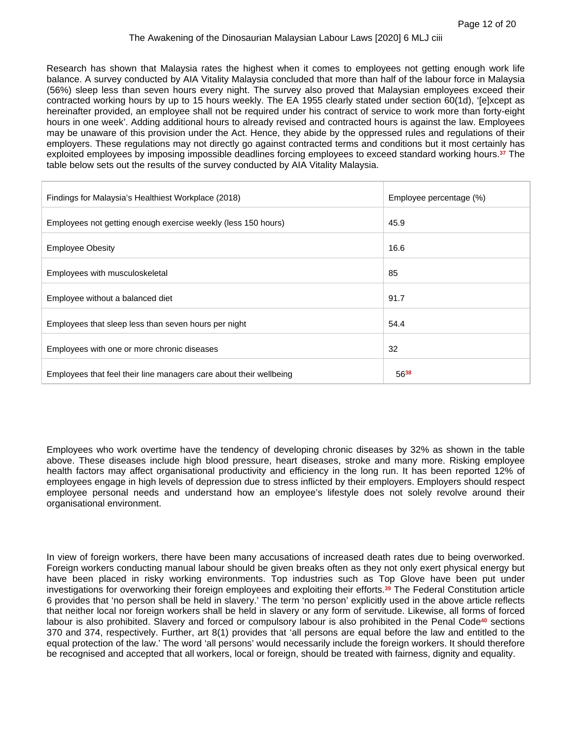Research has shown that Malaysia rates the highest when it comes to employees not getting enough work life balance. A survey conducted by AIA Vitality Malaysia concluded that more than half of the labour force in Malaysia (56%) sleep less than seven hours every night. The survey also proved that Malaysian employees exceed their contracted working hours by up to 15 hours weekly. The EA 1955 clearly stated under section 60(1d), '[e]xcept as hereinafter provided, an employee shall not be required under his contract of service to work more than forty-eight hours in one week'. Adding additional hours to already revised and contracted hours is against the law. Employees may be unaware of this provision under the Act. Hence, they abide by the oppressed rules and regulations of their employers. These regulations may not directly go against contracted terms and conditions but it most certainly has exploited employees by imposing impossible deadlines forcing employees to exceed standard working hours.**37** The table below sets out the results of the survey conducted by AIA Vitality Malaysia.

| Findings for Malaysia's Healthiest Workplace (2018)                | Employee percentage (%) |
|--------------------------------------------------------------------|-------------------------|
| Employees not getting enough exercise weekly (less 150 hours)      | 45.9                    |
| <b>Employee Obesity</b>                                            | 16.6                    |
| Employees with musculoskeletal                                     | 85                      |
| Employee without a balanced diet                                   | 91.7                    |
| Employees that sleep less than seven hours per night               | 54.4                    |
| Employees with one or more chronic diseases                        | 32                      |
| Employees that feel their line managers care about their wellbeing | 5638                    |

Employees who work overtime have the tendency of developing chronic diseases by 32% as shown in the table above. These diseases include high blood pressure, heart diseases, stroke and many more. Risking employee health factors may affect organisational productivity and efficiency in the long run. It has been reported 12% of employees engage in high levels of depression due to stress inflicted by their employers. Employers should respect employee personal needs and understand how an employee's lifestyle does not solely revolve around their organisational environment.

In view of foreign workers, there have been many accusations of increased death rates due to being overworked. Foreign workers conducting manual labour should be given breaks often as they not only exert physical energy but have been placed in risky working environments. Top industries such as Top Glove have been put under investigations for overworking their foreign employees and exploiting their efforts.**39** The Federal Constitution article 6 provides that 'no person shall be held in slavery.' The term 'no person' explicitly used in the above article reflects that neither local nor foreign workers shall be held in slavery or any form of servitude. Likewise, all forms of forced labour is also prohibited. Slavery and forced or compulsory labour is also prohibited in the Penal Code**40** sections 370 and 374, respectively. Further, art 8(1) provides that 'all persons are equal before the law and entitled to the equal protection of the law.' The word 'all persons' would necessarily include the foreign workers. It should therefore be recognised and accepted that all workers, local or foreign, should be treated with fairness, dignity and equality.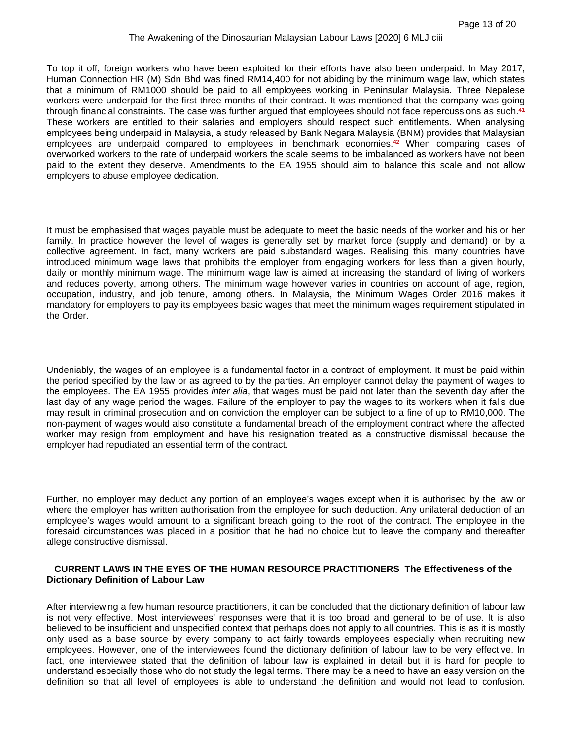To top it off, foreign workers who have been exploited for their efforts have also been underpaid. In May 2017, Human Connection HR (M) Sdn Bhd was fined RM14,400 for not abiding by the minimum wage law, which states that a minimum of RM1000 should be paid to all employees working in Peninsular Malaysia. Three Nepalese workers were underpaid for the first three months of their contract. It was mentioned that the company was going through financial constraints. The case was further argued that employees should not face repercussions as such.**<sup>41</sup>** These workers are entitled to their salaries and employers should respect such entitlements. When analysing employees being underpaid in Malaysia, a study released by Bank Negara Malaysia (BNM) provides that Malaysian employees are underpaid compared to employees in benchmark economies.**42** When comparing cases of overworked workers to the rate of underpaid workers the scale seems to be imbalanced as workers have not been paid to the extent they deserve. Amendments to the EA 1955 should aim to balance this scale and not allow employers to abuse employee dedication.

It must be emphasised that wages payable must be adequate to meet the basic needs of the worker and his or her family. In practice however the level of wages is generally set by market force (supply and demand) or by a collective agreement. In fact, many workers are paid substandard wages. Realising this, many countries have introduced minimum wage laws that prohibits the employer from engaging workers for less than a given hourly, daily or monthly minimum wage. The minimum wage law is aimed at increasing the standard of living of workers and reduces poverty, among others. The minimum wage however varies in countries on account of age, region, occupation, industry, and job tenure, among others. In Malaysia, the Minimum Wages Order 2016 makes it mandatory for employers to pay its employees basic wages that meet the minimum wages requirement stipulated in the Order.

Undeniably, the wages of an employee is a fundamental factor in a contract of employment. It must be paid within the period specified by the law or as agreed to by the parties. An employer cannot delay the payment of wages to the employees. The EA 1955 provides *inter alia*, that wages must be paid not later than the seventh day after the last day of any wage period the wages. Failure of the employer to pay the wages to its workers when it falls due may result in criminal prosecution and on conviction the employer can be subject to a fine of up to RM10,000. The non-payment of wages would also constitute a fundamental breach of the employment contract where the affected worker may resign from employment and have his resignation treated as a constructive dismissal because the employer had repudiated an essential term of the contract.

Further, no employer may deduct any portion of an employee's wages except when it is authorised by the law or where the employer has written authorisation from the employee for such deduction. Any unilateral deduction of an employee's wages would amount to a significant breach going to the root of the contract. The employee in the foresaid circumstances was placed in a position that he had no choice but to leave the company and thereafter allege constructive dismissal.

## **CURRENT LAWS IN THE EYES OF THE HUMAN RESOURCE PRACTITIONERS The Effectiveness of the Dictionary Definition of Labour Law**

After interviewing a few human resource practitioners, it can be concluded that the dictionary definition of labour law is not very effective. Most interviewees' responses were that it is too broad and general to be of use. It is also believed to be insufficient and unspecified context that perhaps does not apply to all countries. This is as it is mostly only used as a base source by every company to act fairly towards employees especially when recruiting new employees. However, one of the interviewees found the dictionary definition of labour law to be very effective. In fact, one interviewee stated that the definition of labour law is explained in detail but it is hard for people to understand especially those who do not study the legal terms. There may be a need to have an easy version on the definition so that all level of employees is able to understand the definition and would not lead to confusion.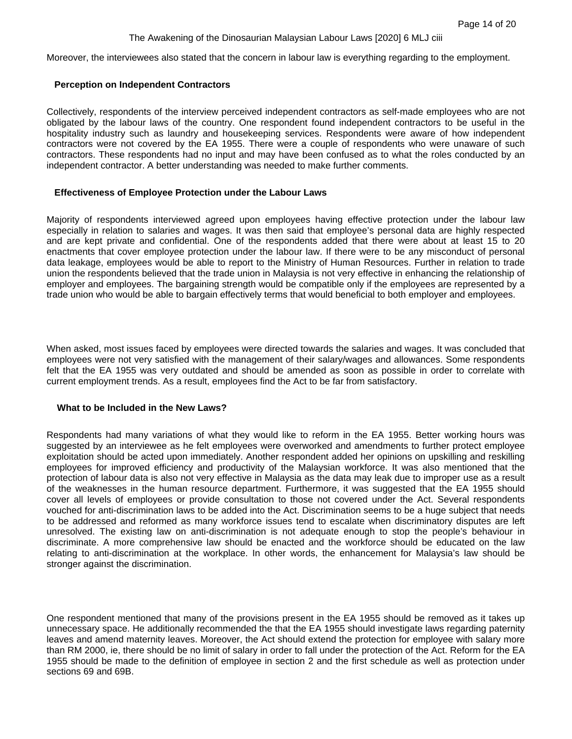Moreover, the interviewees also stated that the concern in labour law is everything regarding to the employment.

# **Perception on Independent Contractors**

Collectively, respondents of the interview perceived independent contractors as self-made employees who are not obligated by the labour laws of the country. One respondent found independent contractors to be useful in the hospitality industry such as laundry and housekeeping services. Respondents were aware of how independent contractors were not covered by the EA 1955. There were a couple of respondents who were unaware of such contractors. These respondents had no input and may have been confused as to what the roles conducted by an independent contractor. A better understanding was needed to make further comments.

## **Effectiveness of Employee Protection under the Labour Laws**

Majority of respondents interviewed agreed upon employees having effective protection under the labour law especially in relation to salaries and wages. It was then said that employee's personal data are highly respected and are kept private and confidential. One of the respondents added that there were about at least 15 to 20 enactments that cover employee protection under the labour law. If there were to be any misconduct of personal data leakage, employees would be able to report to the Ministry of Human Resources. Further in relation to trade union the respondents believed that the trade union in Malaysia is not very effective in enhancing the relationship of employer and employees. The bargaining strength would be compatible only if the employees are represented by a trade union who would be able to bargain effectively terms that would beneficial to both employer and employees.

When asked, most issues faced by employees were directed towards the salaries and wages. It was concluded that employees were not very satisfied with the management of their salary/wages and allowances. Some respondents felt that the EA 1955 was very outdated and should be amended as soon as possible in order to correlate with current employment trends. As a result, employees find the Act to be far from satisfactory.

#### **What to be Included in the New Laws?**

Respondents had many variations of what they would like to reform in the EA 1955. Better working hours was suggested by an interviewee as he felt employees were overworked and amendments to further protect employee exploitation should be acted upon immediately. Another respondent added her opinions on upskilling and reskilling employees for improved efficiency and productivity of the Malaysian workforce. It was also mentioned that the protection of labour data is also not very effective in Malaysia as the data may leak due to improper use as a result of the weaknesses in the human resource department. Furthermore, it was suggested that the EA 1955 should cover all levels of employees or provide consultation to those not covered under the Act. Several respondents vouched for anti-discrimination laws to be added into the Act. Discrimination seems to be a huge subject that needs to be addressed and reformed as many workforce issues tend to escalate when discriminatory disputes are left unresolved. The existing law on anti-discrimination is not adequate enough to stop the people's behaviour in discriminate. A more comprehensive law should be enacted and the workforce should be educated on the law relating to anti-discrimination at the workplace. In other words, the enhancement for Malaysia's law should be stronger against the discrimination.

One respondent mentioned that many of the provisions present in the EA 1955 should be removed as it takes up unnecessary space. He additionally recommended the that the EA 1955 should investigate laws regarding paternity leaves and amend maternity leaves. Moreover, the Act should extend the protection for employee with salary more than RM 2000, ie, there should be no limit of salary in order to fall under the protection of the Act. Reform for the EA 1955 should be made to the definition of employee in section 2 and the first schedule as well as protection under sections 69 and 69B.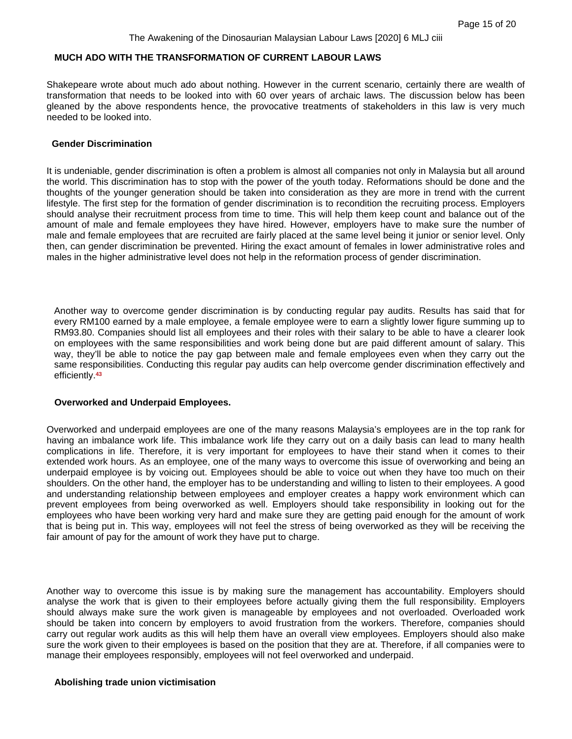# **MUCH ADO WITH THE TRANSFORMATION OF CURRENT LABOUR LAWS**

Shakepeare wrote about much ado about nothing. However in the current scenario, certainly there are wealth of transformation that needs to be looked into with 60 over years of archaic laws. The discussion below has been gleaned by the above respondents hence, the provocative treatments of stakeholders in this law is very much needed to be looked into.

#### **Gender Discrimination**

It is undeniable, gender discrimination is often a problem is almost all companies not only in Malaysia but all around the world. This discrimination has to stop with the power of the youth today. Reformations should be done and the thoughts of the younger generation should be taken into consideration as they are more in trend with the current lifestyle. The first step for the formation of gender discrimination is to recondition the recruiting process. Employers should analyse their recruitment process from time to time. This will help them keep count and balance out of the amount of male and female employees they have hired. However, employers have to make sure the number of male and female employees that are recruited are fairly placed at the same level being it junior or senior level. Only then, can gender discrimination be prevented. Hiring the exact amount of females in lower administrative roles and males in the higher administrative level does not help in the reformation process of gender discrimination.

Another way to overcome gender discrimination is by conducting regular pay audits. Results has said that for every RM100 earned by a male employee, a female employee were to earn a slightly lower figure summing up to RM93.80. Companies should list all employees and their roles with their salary to be able to have a clearer look on employees with the same responsibilities and work being done but are paid different amount of salary. This way, they'll be able to notice the pay gap between male and female employees even when they carry out the same responsibilities. Conducting this regular pay audits can help overcome gender discrimination effectively and efficiently.**<sup>43</sup>**

#### **Overworked and Underpaid Employees.**

Overworked and underpaid employees are one of the many reasons Malaysia's employees are in the top rank for having an imbalance work life. This imbalance work life they carry out on a daily basis can lead to many health complications in life. Therefore, it is very important for employees to have their stand when it comes to their extended work hours. As an employee, one of the many ways to overcome this issue of overworking and being an underpaid employee is by voicing out. Employees should be able to voice out when they have too much on their shoulders. On the other hand, the employer has to be understanding and willing to listen to their employees. A good and understanding relationship between employees and employer creates a happy work environment which can prevent employees from being overworked as well. Employers should take responsibility in looking out for the employees who have been working very hard and make sure they are getting paid enough for the amount of work that is being put in. This way, employees will not feel the stress of being overworked as they will be receiving the fair amount of pay for the amount of work they have put to charge.

Another way to overcome this issue is by making sure the management has accountability. Employers should analyse the work that is given to their employees before actually giving them the full responsibility. Employers should always make sure the work given is manageable by employees and not overloaded. Overloaded work should be taken into concern by employers to avoid frustration from the workers. Therefore, companies should carry out regular work audits as this will help them have an overall view employees. Employers should also make sure the work given to their employees is based on the position that they are at. Therefore, if all companies were to manage their employees responsibly, employees will not feel overworked and underpaid.

# **Abolishing trade union victimisation**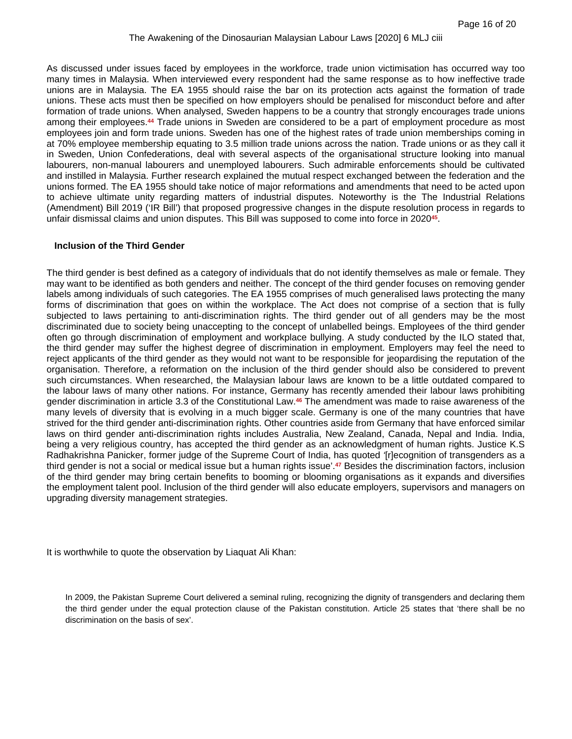As discussed under issues faced by employees in the workforce, trade union victimisation has occurred way too many times in Malaysia. When interviewed every respondent had the same response as to how ineffective trade unions are in Malaysia. The EA 1955 should raise the bar on its protection acts against the formation of trade unions. These acts must then be specified on how employers should be penalised for misconduct before and after formation of trade unions. When analysed, Sweden happens to be a country that strongly encourages trade unions among their employees.**44** Trade unions in Sweden are considered to be a part of employment procedure as most employees join and form trade unions. Sweden has one of the highest rates of trade union memberships coming in at 70% employee membership equating to 3.5 million trade unions across the nation. Trade unions or as they call it in Sweden, Union Confederations, deal with several aspects of the organisational structure looking into manual labourers, non-manual labourers and unemployed labourers. Such admirable enforcements should be cultivated and instilled in Malaysia. Further research explained the mutual respect exchanged between the federation and the unions formed. The EA 1955 should take notice of major reformations and amendments that need to be acted upon to achieve ultimate unity regarding matters of industrial disputes. Noteworthy is the The Industrial Relations (Amendment) Bill 2019 ('IR Bill') that proposed progressive changes in the dispute resolution process in regards to unfair dismissal claims and union disputes. This Bill was supposed to come into force in 2020**<sup>45</sup>** .

# **Inclusion of the Third Gender**

The third gender is best defined as a category of individuals that do not identify themselves as male or female. They may want to be identified as both genders and neither. The concept of the third gender focuses on removing gender labels among individuals of such categories. The EA 1955 comprises of much generalised laws protecting the many forms of discrimination that goes on within the workplace. The Act does not comprise of a section that is fully subjected to laws pertaining to anti-discrimination rights. The third gender out of all genders may be the most discriminated due to society being unaccepting to the concept of unlabelled beings. Employees of the third gender often go through discrimination of employment and workplace bullying. A study conducted by the ILO stated that, the third gender may suffer the highest degree of discrimination in employment. Employers may feel the need to reject applicants of the third gender as they would not want to be responsible for jeopardising the reputation of the organisation. Therefore, a reformation on the inclusion of the third gender should also be considered to prevent such circumstances. When researched, the Malaysian labour laws are known to be a little outdated compared to the labour laws of many other nations. For instance, Germany has recently amended their labour laws prohibiting gender discrimination in article 3.3 of the Constitutional Law.**46** The amendment was made to raise awareness of the many levels of diversity that is evolving in a much bigger scale. Germany is one of the many countries that have strived for the third gender anti-discrimination rights. Other countries aside from Germany that have enforced similar laws on third gender anti-discrimination rights includes Australia, New Zealand, Canada, Nepal and India. India, being a very religious country, has accepted the third gender as an acknowledgment of human rights. Justice K.S Radhakrishna Panicker, former judge of the Supreme Court of India, has quoted *'*[r]ecognition of transgenders as a third gender is not a social or medical issue but a human rights issue'.**47** Besides the discrimination factors, inclusion of the third gender may bring certain benefits to booming or blooming organisations as it expands and diversifies the employment talent pool. Inclusion of the third gender will also educate employers, supervisors and managers on upgrading diversity management strategies.

It is worthwhile to quote the observation by Liaquat Ali Khan:

In 2009, the Pakistan Supreme Court delivered a seminal ruling, recognizing the dignity of transgenders and declaring them the third gender under the equal protection clause of the Pakistan constitution. Article 25 states that 'there shall be no discrimination on the basis of sex'.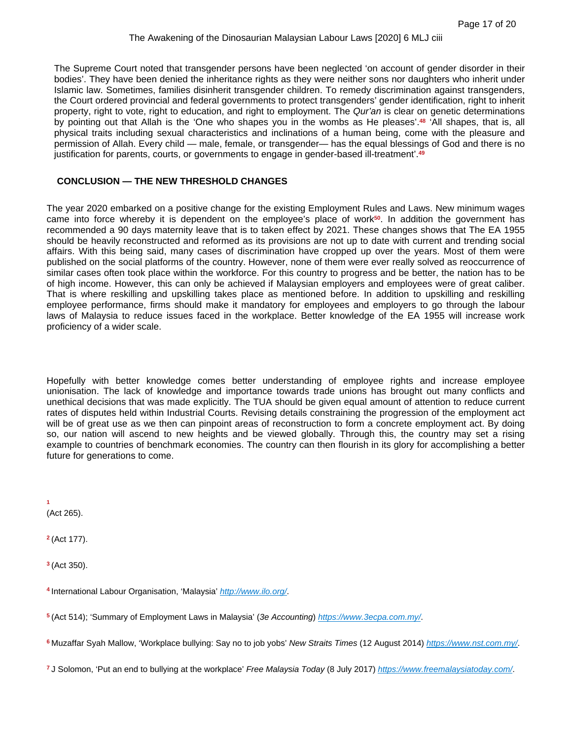The Supreme Court noted that transgender persons have been neglected 'on account of gender disorder in their bodies'. They have been denied the inheritance rights as they were neither sons nor daughters who inherit under Islamic law. Sometimes, families disinherit transgender children. To remedy discrimination against transgenders, the Court ordered provincial and federal governments to protect transgenders' gender identification, right to inherit property, right to vote, right to education, and right to employment. The *Qur'an* is clear on genetic determinations by pointing out that Allah is the 'One who shapes you in the wombs as He pleases'.**48** 'All shapes, that is, all physical traits including sexual characteristics and inclinations of a human being, come with the pleasure and permission of Allah. Every child — male, female, or transgender— has the equal blessings of God and there is no justification for parents, courts, or governments to engage in gender-based ill-treatment'.**<sup>49</sup>**

# **CONCLUSION — THE NEW THRESHOLD CHANGES**

The year 2020 embarked on a positive change for the existing Employment Rules and Laws. New minimum wages came into force whereby it is dependent on the employee's place of work**50**. In addition the government has recommended a 90 days maternity leave that is to taken effect by 2021. These changes shows that The EA 1955 should be heavily reconstructed and reformed as its provisions are not up to date with current and trending social affairs. With this being said, many cases of discrimination have cropped up over the years. Most of them were published on the social platforms of the country. However, none of them were ever really solved as reoccurrence of similar cases often took place within the workforce. For this country to progress and be better, the nation has to be of high income. However, this can only be achieved if Malaysian employers and employees were of great caliber. That is where reskilling and upskilling takes place as mentioned before. In addition to upskilling and reskilling employee performance, firms should make it mandatory for employees and employers to go through the labour laws of Malaysia to reduce issues faced in the workplace. Better knowledge of the EA 1955 will increase work proficiency of a wider scale.

Hopefully with better knowledge comes better understanding of employee rights and increase employee unionisation. The lack of knowledge and importance towards trade unions has brought out many conflicts and unethical decisions that was made explicitly. The TUA should be given equal amount of attention to reduce current rates of disputes held within Industrial Courts. Revising details constraining the progression of the employment act will be of great use as we then can pinpoint areas of reconstruction to form a concrete employment act. By doing so, our nation will ascend to new heights and be viewed globally. Through this, the country may set a rising example to countries of benchmark economies. The country can then flourish in its glory for accomplishing a better future for generations to come.

**1**  (Act 265).

**<sup>2</sup>**(Act 177).

**<sup>3</sup>**(Act 350).

- **<sup>4</sup>**International Labour Organisation, 'Malaysia' *[http://www.ilo.org/](http://www.ilo.org/dyn/natlex/natlex4.detail?p_lang=en&p_isn=48059)*.
- **<sup>5</sup>**(Act 514); 'Summary of Employment Laws in Malaysia' (*3e Accounting*) *[https://www.3ecpa.com.my/](https://www.3ecpa.com.my/resources/human-resources-immigration/summary-of-employment-laws-in-malaysia/)*.
- **<sup>6</sup>**Muzaffar Syah Mallow, 'Workplace bullying: Say no to job yobs' *New Straits Times* (12 August 2014) *[https://www.nst.com.my/](https://www.nst.com.my/news/2015/09/workplace-bullying-say-no-job-yobs)*.
- **7** J Solomon, 'Put an end to bullying at the workplace' *Free Malaysia Today* (8 July 2017) *[https://www.freemalaysiatoday.com/](https://www.freemalaysiatoday.com/category/opinion/2017/07/08/put-an-end-to-bullying-at-the-workplace/)*.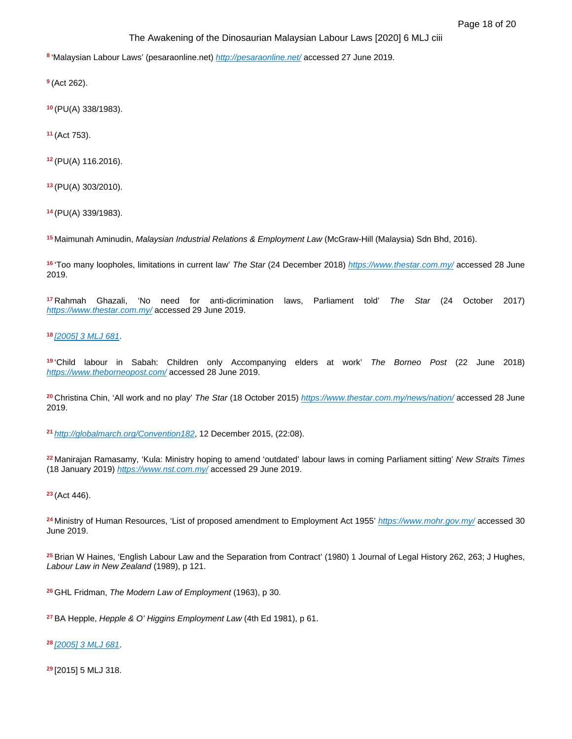'Malaysian Labour Laws' (pesaraonline.net) *<http://pesaraonline.net/>* accessed 27 June 2019.

(Act 262).

(PU(A) 338/1983).

(Act 753).

(PU(A) 116.2016).

(PU(A) 303/2010).

(PU(A) 339/1983).

Maimunah Aminudin, *Malaysian Industrial Relations & Employment Law* (McGraw-Hill (Malaysia) Sdn Bhd, 2016).

'Too many loopholes, limitations in current law' *The Star* (24 December 2018) *[https://www.thestar.com.my/](https://www.thestar.com.my/news/nation/2018/12/24/too-many-loopholes-limitations-in-current-law/)* accessed 28 June 2019.

Rahmah Ghazali, 'No need for anti-dicrimination laws, Parliament told' *The Star* (24 October 2017) *[https://www.thestar.com.my/](https://www.thestar.com.my/news/nation/2017/10/24/no-need-for-anti-discrimination-laws-parliament-told/)* accessed 29 June 2019.

*[\[2005\] 3 MLJ 681](https://advance.lexis.com/api/document?collection=cases-my&id=urn:contentItem:5RC3-MV51-DY89-M1RK-00000-00&context=)*.

'Child labour in Sabah: Children only Accompanying elders at work' *The Borneo Post* (22 June 2018) *[https://www.theborneopost.com/](https://www.theborneopost.com/2018/06/22/child-labour-in-sabah-children-only-accompanying-elders-at-work/)* accessed 28 June 2019.

Christina Chin, 'All work and no play' *The Star* (18 October 2015) *[https://www.thestar.com.my/news/nation/](https://www.thestar.com.my/news/nation/2015/10/18/all-work-and-no-play-is-a-child-who-helps-at-his-parents-pasar-malam-stall-a-labourer-sunday-star-ta/)* accessed 28 June 2019.

*<http://globalmarch.org/Convention182>*, 12 December 2015, (22:08).

Manirajan Ramasamy, 'Kula: Ministry hoping to amend 'outdated' labour laws in coming Parliament sitting' *New Straits Times* (18 January 2019) *[https://www.nst.com.my/](https://www.nst.com.my/news/government-public-policy/2019/01/451914/kula-ministry-hoping-amend-outdated-labour-laws-coming)* accessed 29 June 2019.

(Act 446).

Ministry of Human Resources, 'List of proposed amendment to Employment Act 1955' *[https://www.mohr.gov.my/](https://www.mohr.gov.my/pdf/SerantaAwam/Public%20Engagement%20EA.doc)* accessed 30 June 2019.

Brian W Haines, 'English Labour Law and the Separation from Contract' (1980) 1 Journal of Legal History 262, 263; J Hughes, *Labour Law in New Zealand* (1989), p 121.

GHL Fridman, *The Modern Law of Employment* (1963), p 30.

BA Hepple, *Hepple & O' Higgins Employment Law* (4th Ed 1981), p 61.

*[\[2005\] 3 MLJ 681](https://advance.lexis.com/api/document?collection=cases-my&id=urn:contentItem:5RC3-MV51-DY89-M1RK-00000-00&context=)*.

[2015] 5 MLJ 318.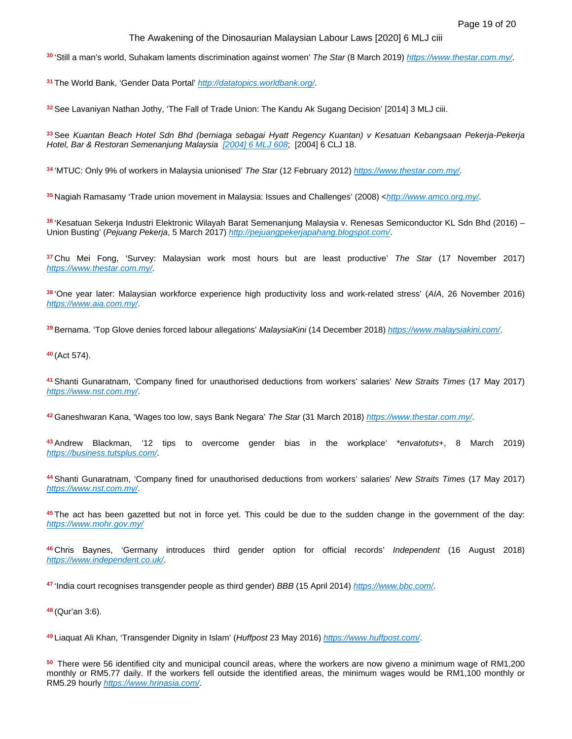'Still a man's world, Suhakam laments discrimination against women' *The Star* (8 March 2019) *[https://www.thestar.com.my/](https://www.thestar.com.my/news/nation/2019/03/08/still-a-mans-world-suhakam-laments-discrimination-against-women/)*.

The World Bank, 'Gender Data Portal' *[http://datatopics.worldbank.org/](http://datatopics.worldbank.org/gender/country/malaysia)*.

See Lavaniyan Nathan Jothy, 'The Fall of Trade Union: The Kandu Ak Sugang Decision' [2014] 3 MLJ ciii.

See *Kuantan Beach Hotel Sdn Bhd (berniaga sebagai Hyatt Regency Kuantan) v Kesatuan Kebangsaan Pekerja-Pekerja Hotel, Bar & Restoran Semenanjung Malaysia [\[2004\] 6 MLJ 608](https://advance.lexis.com/api/document?collection=cases-my&id=urn:contentItem:5RC3-MV51-DY89-M1MN-00000-00&context=)*; [2004] 6 CLJ 18.

'MTUC: Only 9% of workers in Malaysia unionised' *The Star* (12 February 2012) *[https://www.thestar.com.my/](https://www.thestar.com.my/news/nation/2012/02/12/mtuc-only-9-of-workers-in-malaysia-unionised/)*.

Nagiah Ramasamy 'Trade union movement in Malaysia: Issues and Challenges' (2008) <*[http://www.amco.org.my/](http://www.amco.org.my/n-archives/The_Future_of_the_Trade_Union_Movement_in_Malaysia.pdf)*.

'Kesatuan Sekerja Industri Elektronic Wilayah Barat Semenanjung Malaysia v. Renesas Semiconductor KL Sdn Bhd (2016) – Union Busting' (*Pejuang Pekerja*, 5 March 2017) *[http://pejuangpekerjapahang.blogspot.com/](http://pejuangpekerjapahang.blogspot.com/2017/03/kesatuan-sekerja-industri-elektronik.html)*.

Chu Mei Fong, 'Survey: Malaysian work most hours but are least productive' *The Star* (17 November 2017) *[https://www.thestar.com.my/](https://www.thestar.com.my/news/nation/2017/11/17/survey-malaysians-work-most-hours-but-are-least-productive/)*.

'One year later: Malaysian workforce experience high productivity loss and work-related stress' (*AIA*, 26 November 2016) *[https://www.aia.com.my/](https://www.aia.com.my/en/about-aia/media-centre/press-releases/2018/one-year-later-malaysian-workforce-experience-high-productivity-loss-and-work-related-stress.html)*.

Bernama. 'Top Glove denies forced labour allegations' *MalaysiaKini* (14 December 2018) *[https://www.malaysiakini.com/](https://www.malaysiakini.com/news/456160)*.

(Act 574).

Shanti Gunaratnam, 'Company fined for unauthorised deductions from workers' salaries' *New Straits Times* (17 May 2017) *[https://www.nst.com.my/](https://www.nst.com.my/news/nation/2017/05/240142/company-fined-unauthorised-deductions-workers-salaries)*.

Ganeshwaran Kana, 'Wages too low, says Bank Negara' *The Star* (31 March 2018) *[https://www.thestar.com.my/](https://www.thestar.com.my/business/business-news/2018/03/31/wages-too-low-says-bank-negara/)*.

Andrew Blackman, '12 tips to overcome gender bias in the workplace' \**envatotuts*+, 8 March 2019) *[https://business.tutsplus.com/](https://business.tutsplus.com/tutorials/overcome-gender-bias-in-the-workplace--cms-32848)*.

Shanti Gunaratnam, 'Company fined for unauthorised deductions from workers' salaries' *New Straits Times* (17 May 2017) *[https://www.nst.com.my/](https://www.nst.com.my/news/nation/2017/05/240142/company-fined-unauthorised-deductions-workers-salaries)*.

The act has been gazetted but not in force yet. This could be due to the sudden change in the government of the day: *[https://www.mohr.gov.my/](https://www.mohr.gov.my/index.php/en/2013-03-19-10-53-47/media-release-2/1264-press-statement-19-10-2019-response-to-statements-made-by-mtuc-on-9-and-13-october-2019-and-by-mef-on-14-october-2019-on-the-amendments-to-the-industrial-relations-act-1967-act-177)*

Chris Baynes, 'Germany introduces third gender option for official records' *Independent* (16 August 2018) *[https://www.independent.co.uk/](https://www.independent.co.uk/news/world/europe/germany-third-gender-identiy-official-records-diverse-binary-a8494766.html)*.

'India court recognises transgender people as third gender) *BBB* (15 April 2014) *[https://www.bbc.com/](https://www.bbc.com/news/world-asia-india-27031180)*.

(Qur'an 3:6).

Liaquat Ali Khan, 'Transgender Dignity in Islam' (*Huffpost* 23 May 2016) *[https://www.huffpost.com/](https://www.huffpost.com/entry/transgender-dignity-in-is_b_10089712)*.

There were 56 identified city and municipal council areas, where the workers are now giveno a minimum wage of RM1,200 monthly or RM5.77 daily. If the workers fell outside the identified areas, the minimum wages would be RM1,100 monthly or RM5.29 hourly *[https://www.hrinasia.com/](https://www.hrinasia.com/employee-relations/malaysia-employment-law-2020/)*.